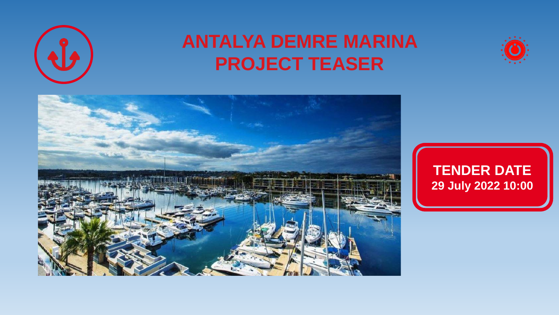

# **ANTALYA DEMRE MARINA PROJECT TEASER**





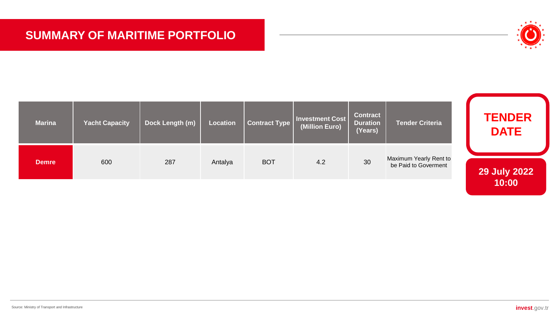# **SUMMARY OF MARITIME PORTFOLIO**



| <b>Marina</b> | <b>Yacht Capacity</b> | Dock Length (m) | Location | Contract Type | <b>Investment Cost</b><br>(Million Euro) | <b>Contract</b><br><b>Duration</b><br>(Years) | <b>Tender Criteria</b>                         | <b>TENDER</b><br><b>DATE</b> |
|---------------|-----------------------|-----------------|----------|---------------|------------------------------------------|-----------------------------------------------|------------------------------------------------|------------------------------|
| <b>Demre</b>  | 600                   | 287             | Antalya  | <b>BOT</b>    | 4.2                                      | 30                                            | Maximum Yearly Rent to<br>be Paid to Goverment | <b>29 July 2022</b>          |
|               |                       |                 |          |               |                                          |                                               |                                                | 10:00                        |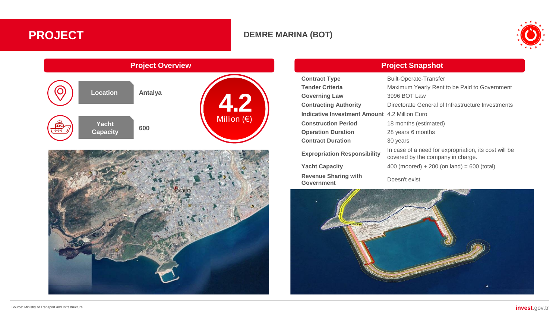# **PROJECT DEMRE MARINA (BOT)**







**Project Overview Project Snapshot**

| <b>Contract Type</b>                                 | <b>Built-Operate-Transfer</b>                                                              |  |  |  |
|------------------------------------------------------|--------------------------------------------------------------------------------------------|--|--|--|
| <b>Tender Criteria</b>                               | Maximum Yearly Rent to be Paid to Government                                               |  |  |  |
| <b>Governing Law</b>                                 | 3996 BOT Law                                                                               |  |  |  |
| <b>Contracting Authority</b>                         | Directorate General of Infrastructure Investments                                          |  |  |  |
| <b>Indicative Investment Amount 4.2 Million Euro</b> |                                                                                            |  |  |  |
| <b>Construction Period</b>                           | 18 months (estimated)                                                                      |  |  |  |
| <b>Operation Duration</b>                            | 28 years 6 months                                                                          |  |  |  |
| <b>Contract Duration</b>                             | 30 years                                                                                   |  |  |  |
| <b>Expropriation Responsibility</b>                  | In case of a need for expropriation, its cost will be<br>covered by the company in charge. |  |  |  |
| <b>Yacht Capacity</b>                                | $400$ (moored) + 200 (on land) = 600 (total)                                               |  |  |  |
| <b>Revenue Sharing with</b>                          | Dogon't oviat                                                                              |  |  |  |

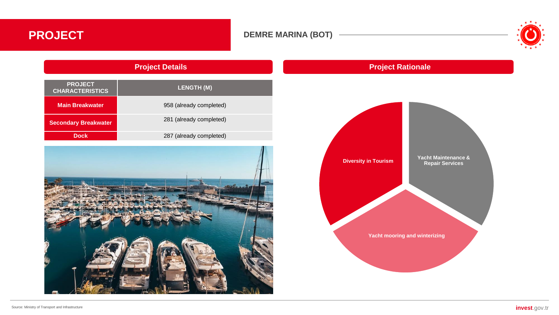### **DEMRE MARINA (BOT)**



# **Project Details PROJECT CHARACTERISTICS LENGTH (M) Main Breakwater Main Breakwater Properties** 1958 (already completed) **Secondary Breakwater** 281 (already completed)